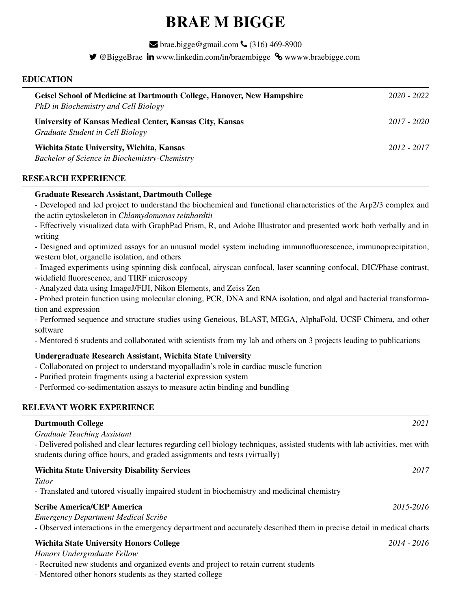# BRAE M BIGGE

 $\blacktriangleright$  brae.bigge@gmail.com  $\blacklozenge$  (316) 469-8900

 $\blacktriangleright$  @BiggeBrae  $\mathbf{in}$  www.linkedin.com/in/braembigge  $\mathcal{S}_{\mathbf{0}}$  www.braebigge.com

## EDUCATION

| <b>Geisel School of Medicine at Dartmouth College, Hanover, New Hampshire</b><br>PhD in Biochemistry and Cell Biology | 2020 - 2022 |
|-----------------------------------------------------------------------------------------------------------------------|-------------|
| University of Kansas Medical Center, Kansas City, Kansas<br>Graduate Student in Cell Biology                          | 2017 - 2020 |
| Wichita State University, Wichita, Kansas<br><b>Bachelor of Science in Biochemistry-Chemistry</b>                     | 2012 - 2017 |

# RESEARCH EXPERIENCE

## Graduate Research Assistant, Dartmouth College

- Developed and led project to understand the biochemical and functional characteristics of the Arp2/3 complex and the actin cytoskeleton in *Chlamydomonas reinhardtii*

- Effectively visualized data with GraphPad Prism, R, and Adobe Illustrator and presented work both verbally and in writing

- Designed and optimized assays for an unusual model system including immunofluorescence, immunoprecipitation, western blot, organelle isolation, and others

- Imaged experiments using spinning disk confocal, airyscan confocal, laser scanning confocal, DIC/Phase contrast, widefield fluorescence, and TIRF microscopy

- Analyzed data using ImageJ/FIJI, Nikon Elements, and Zeiss Zen

- Probed protein function using molecular cloning, PCR, DNA and RNA isolation, and algal and bacterial transformation and expression

- Performed sequence and structure studies using Geneious, BLAST, MEGA, AlphaFold, UCSF Chimera, and other software

- Mentored 6 students and collaborated with scientists from my lab and others on 3 projects leading to publications

# Undergraduate Research Assistant, Wichita State University

- Collaborated on project to understand myopalladin's role in cardiac muscle function
- Purified protein fragments using a bacterial expression system
- Performed co-sedimentation assays to measure actin binding and bundling

# RELEVANT WORK EXPERIENCE

| 2021                                                                                                                               |
|------------------------------------------------------------------------------------------------------------------------------------|
| - Delivered polished and clear lectures regarding cell biology techniques, assisted students with lab activities, met with         |
| 2017                                                                                                                               |
| 2015-2016<br>- Observed interactions in the emergency department and accurately described them in precise detail in medical charts |
| $2014 - 2016$                                                                                                                      |
|                                                                                                                                    |